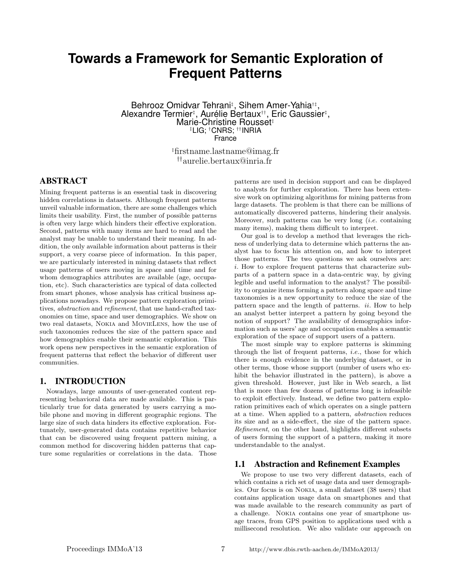# **Towards a Framework for Semantic Exploration of Frequent Patterns**

Behrooz Omidvar Tehrani‡ , Sihem Amer-Yahia†‡ , Alexandre Termier‡, Aurélie Bertaux††, Eric Gaussier‡, Marie-Christine Rousset<sup>‡</sup> ‡LIG; †CNRS; ††INRIA France

> ‡firstname.lastname@imag.fr ††aurelie.bertaux@inria.fr

# ABSTRACT

Mining frequent patterns is an essential task in discovering hidden correlations in datasets. Although frequent patterns unveil valuable information, there are some challenges which limits their usability. First, the number of possible patterns is often very large which hinders their effective exploration. Second, patterns with many items are hard to read and the analyst may be unable to understand their meaning. In addition, the only available information about patterns is their support, a very coarse piece of information. In this paper, we are particularly interested in mining datasets that reflect usage patterns of users moving in space and time and for whom demographics attributes are available (age, occupation, etc). Such characteristics are typical of data collected from smart phones, whose analysis has critical business applications nowadays. We propose pattern exploration primitives, abstraction and refinement, that use hand-crafted taxonomies on time, space and user demographics. We show on two real datasets, Nokia and MovieLens, how the use of such taxonomies reduces the size of the pattern space and how demographics enable their semantic exploration. This work opens new perspectives in the semantic exploration of frequent patterns that reflect the behavior of different user communities.

## 1. INTRODUCTION

Nowadays, large amounts of user-generated content representing behavioral data are made available. This is particularly true for data generated by users carrying a mobile phone and moving in different geographic regions. The large size of such data hinders its effective exploration. Fortunately, user-generated data contains repetitive behavior that can be discovered using frequent pattern mining, a common method for discovering hidden patterns that capture some regularities or correlations in the data. Those patterns are used in decision support and can be displayed to analysts for further exploration. There has been extensive work on optimizing algorithms for mining patterns from large datasets. The problem is that there can be millions of automatically discovered patterns, hindering their analysis. Moreover, such patterns can be very long (i.e. containing many items), making them difficult to interpret.

Our goal is to develop a method that leverages the richness of underlying data to determine which patterns the analyst has to focus his attention on, and how to interpret those patterns. The two questions we ask ourselves are: i. How to explore frequent patterns that characterize subparts of a pattern space in a data-centric way, by giving legible and useful information to the analyst? The possibility to organize items forming a pattern along space and time taxonomies is a new opportunity to reduce the size of the pattern space and the length of patterns.  $ii$ . How to help an analyst better interpret a pattern by going beyond the notion of support? The availability of demographics information such as users' age and occupation enables a semantic exploration of the space of support users of a pattern.

The most simple way to explore patterns is skimming through the list of frequent patterns, i.e., those for which there is enough evidence in the underlying dataset, or in other terms, those whose support (number of users who exhibit the behavior illustrated in the pattern), is above a given threshold. However, just like in Web search, a list that is more than few dozens of patterns long is infeasible to exploit effectively. Instead, we define two pattern exploration primitives each of which operates on a single pattern at a time. When applied to a pattern, abstraction reduces its size and as a side-effect, the size of the pattern space. Refinement, on the other hand, highlights different subsets of users forming the support of a pattern, making it more understandable to the analyst.

# 1.1 Abstraction and Refinement Examples

We propose to use two very different datasets, each of which contains a rich set of usage data and user demographics. Our focus is on Nokia, a small dataset (38 users) that contains application usage data on smartphones and that was made available to the research community as part of a challenge. Nokia contains one year of smartphone usage traces, from GPS position to applications used with a millisecond resolution. We also validate our approach on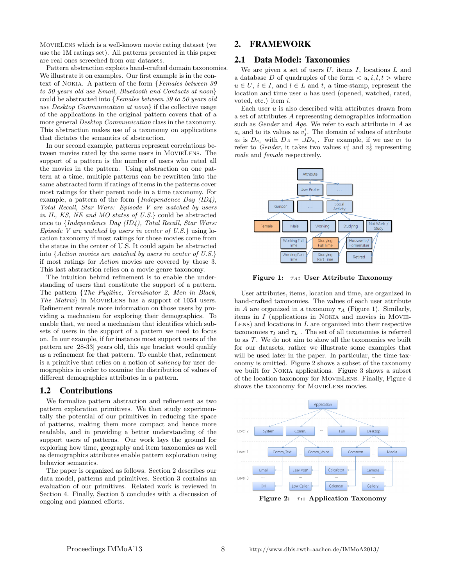MovieLens which is a well-known movie rating dataset (we use the 1M ratings set). All patterns presented in this paper are real ones screeched from our datasets.

Pattern abstraction exploits hand-crafted domain taxonomies. We illustrate it on examples. Our first example is in the context of Nokia. A pattern of the form {Females between 39 to 50 years old use Email, Bluetooth and Contacts at noon} could be abstracted into {Females between 39 to 50 years old use Desktop Communication at noon} if the collective usage of the applications in the original pattern covers that of a more general Desktop Communication class in the taxonomy. This abstraction makes use of a taxonomy on applications that dictates the semantics of abstraction.

In our second example, patterns represent correlations between movies rated by the same users in MovieLens. The support of a pattern is the number of users who rated all the movies in the pattern. Using abstraction on one pattern at a time, multiple patterns can be rewritten into the same abstracted form if ratings of items in the patterns cover most ratings for their parent node in a time taxonomy. For example, a pattern of the form {Independence Day (ID4), Total Recall, Star Wars: Episode V are watched by users in IL, KS, NE and MO states of U.S.} could be abstracted once to {Independence Day (ID4), Total Recall, Star Wars: Episode V are watched by users in center of  $U.S.$  using location taxonomy if most ratings for those movies come from the states in the center of U.S. It could again be abstracted into {Action movies are watched by users in center of U.S.} if most ratings for Action movies are covered by those 3. This last abstraction relies on a movie genre taxonomy.

The intuition behind refinement is to enable the understanding of users that constitute the support of a pattern. The pattern {The Fugitive, Terminator 2, Men in Black, The Matrix} in MovieLens has a support of 1054 users. Refinement reveals more information on those users by providing a mechanism for exploring their demographics. To enable that, we need a mechanism that identifies which subsets of users in the support of a pattern we need to focus on. In our example, if for instance most support users of the pattern are [28-33] years old, this age bracket would qualify as a refinement for that pattern. To enable that, refinement is a primitive that relies on a notion of saliency for user demographics in order to examine the distribution of values of different demographics attributes in a pattern.

# 1.2 Contributions

We formalize pattern abstraction and refinement as two pattern exploration primitives. We then study experimentally the potential of our primitives in reducing the space of patterns, making them more compact and hence more readable, and in providing a better understanding of the support users of patterns. Our work lays the ground for exploring how time, geography and item taxonomies as well as demographics attributes enable pattern exploration using behavior semantics.

The paper is organized as follows. Section 2 describes our data model, patterns and primitives. Section 3 contains an evaluation of our primitives. Related work is reviewed in Section 4. Finally, Section 5 concludes with a discussion of ongoing and planned efforts.

# 2. FRAMEWORK

## 2.1 Data Model: Taxonomies

We are given a set of users  $U$ , items  $I$ , locations  $L$  and a database D of quadruples of the form  $\langle u, i, l, t \rangle$  where  $u \in U$ ,  $i \in I$ , and  $l \in L$  and t, a time-stamp, represent the location and time user u has used (opened, watched, rated, voted, etc.) item i.

Each user  $u$  is also described with attributes drawn from a set of attributes A representing demographics information such as Gender and Age. We refer to each attribute in A as  $a_i$  and to its values as  $v_j^i$ . The domain of values of attribute  $a_i$  is  $D_{a_i}$  with  $D_A = \cup D_{a_i}$ . For example, if we use  $a_1$  to refer to *Gender*, it takes two values  $v_1^1$  and  $v_2^1$  representing male and female respectively.



Figure 1:  $\tau_A$ : User Attribute Taxonomy

User attributes, items, location and time, are organized in hand-crafted taxonomies. The values of each user attribute in A are organized in a taxonomy  $\tau_A$  (Figure 1). Similarly, items in  $I$  (applications in NOKIA and movies in MOVIE-LENS) and locations in  $L$  are organized into their respective taxonomies  $\tau_I$  and  $\tau_L$ . The set of all taxonomies is referred to as  $\mathcal T$ . We do not aim to show all the taxonomies we built for our datasets, rather we illustrate some examples that will be used later in the paper. In particular, the time taxonomy is omitted. Figure 2 shows a subset of the taxonomy we built for Nokia applications. Figure 3 shows a subset of the location taxonomy for MovieLens. Finally, Figure 4 shows the taxonomy for MOVIELENS movies.

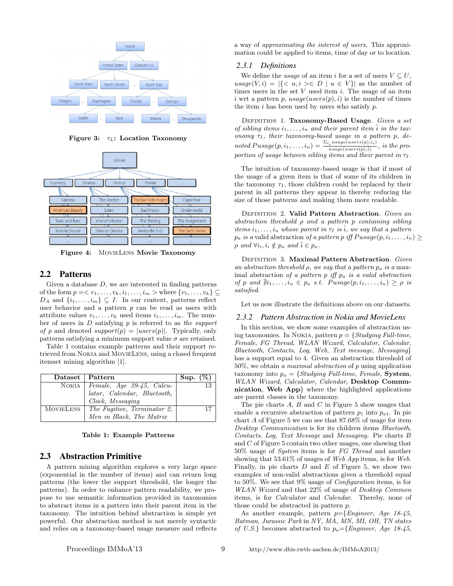

Figure 3:  $\tau_L$ : Location Taxonomy



Figure 4: MovieLens Movie Taxonomy

# 2.2 Patterns

Given a database  $D$ , we are interested in finding patterns of the form  $p = \langle v_1, \ldots, v_k, i_1, \ldots, i_m \rangle$  where  $\{v_1, \ldots, v_k\} \subseteq$  $D_A$  and  $\{i_1, \ldots, i_m\} \subseteq I$ . In our context, patterns reflect user behavior and a pattern  $p$  can be read as users with attribute values  $v_1, \ldots, v_k$  used items  $i_1, \ldots, i_m$ . The number of users in  $D$  satisfying  $p$  is referred to as the support of p and denoted  $support(p) = |users(p)|$ . Typically, only patterns satisfying a minimum support value  $\sigma$  are retained.

Table 1 contains example patterns and their support retrieved from Nokia and MovieLens, using a closed frequent itemset mining algorithm [1].

|           | Dataset   Pattern                 | Sup. $(\%)$ |
|-----------|-----------------------------------|-------------|
|           | NOKIA   Female, Age 39-45, Calcu- |             |
|           | lator, Calendar, Bluetooth,       |             |
|           | Clock, Messaging                  |             |
| MOVIELENS | The Fugitive, Terminator 2,       | 17          |
|           | Men in Black, The Matrix          |             |

Table 1: Example Patterns

## 2.3 Abstraction Primitive

A pattern mining algorithm explores a very large space (exponential in the number of items) and can return long patterns (the lower the support threshold, the longer the patterns). In order to enhance pattern readability, we propose to use semantic information provided in taxonomies to abstract items in a pattern into their parent item in the taxonomy. The intuition behind abstraction is simple yet powerful. Our abstraction method is not merely syntactic and relies on a taxonomy-based usage measure and reflects a way of approximating the interest of users. This approximation could be applied to items, time of day or to location.

#### *2.3.1 Definitions*

We define the usage of an item i for a set of users  $V \subseteq U$ ,  $usage(V, i) = |\{ \langle u, i \rangle \in D \mid u \in V \}|$  as the number of times users in the set  $V$  used item  $i$ . The usage of an item i wrt a pattern p,  $usage(user(p), i)$  is the number of times the item  $i$  has been used by users who satisfy  $p$ .

DEFINITION 1. Taxonomy-Based Usage. Given a set of sibling items  $i_1, \ldots, i_n$  and their parent item i in the taxonomy  $\tau_I$ , their taxonomy-based usage in a pattern p, denoted  $Pusage(p, i_1, \ldots, i_n) = \frac{\sum_{i_i} usage(users(p), i_i)}{uses(users(p), i_i)},$  is the pro $usage(users(p),\hat{i})$ portion of usage between sibling items and their parent in  $\tau_I$ .

The intuition of taxonomy-based usage is that if most of the usage of a given item is that of some of its children in the taxonomy  $\tau_I$ , those children could be replaced by their parent in all patterns they appear in thereby reducing the size of those patterns and making them more readable.

DEFINITION 2. Valid Pattern Abstraction. Given an abstraction threshold  $\rho$  and a pattern  $p$  containing sibling items  $i_1, \ldots, i_n$  whose parent in  $\tau_I$  is  $\hat{i}$ , we say that a pattern  $p_a$  is a valid abstraction of a pattern p iff  $P usage(p, i_1, \ldots, i_n) \geq$  $\rho$  and  $\forall i_i, i_i \notin p_a$  and  $\hat{i} \in p_a$ .

DEFINITION 3. Maximal Pattern Abstraction. Given an abstraction threshold  $\rho$ , we say that a pattern  $p_a$  is a maximal abstraction of a pattern  $p$  iff  $p_a$  is a valid abstraction of p and  $\exists i_1, \ldots, i_n \in p_a$  s.t.  $Pusage(p, i_1, \ldots, i_n) \ge \rho$  is satisfied.

Let us now illustrate the definitions above on our datasets.

#### *2.3.2 Pattern Abstraction in Nokia and MovieLens*

In this section, we show some examples of abstraction using taxonomies. In NOKIA, pattern  $p = \{Studying\ Full-time,$ Female, FG Thread, WLAN Wizard, Calculator, Calendar, Bluetooth, Contacts, Log, Web, Text message, Messaging} has a support equal to 4. Given an abstraction threshold of  $50\%$ , we obtain a maximal abstraction of p using application taxonomy into  $p_a = \{Studying\ Full-time, Female, System,$ WLAN Wizard, Calculator, Calendar, Desktop Communication, Web App} where the highlighted applications are parent classes in the taxonomy.

The pie charts  $A, B$  and  $C$  in Figure 5 show usages that enable a recursive abstraction of pattern  $p_1$  into  $p_{a1}$ . In pie chart A of Figure 5 we can see that 87.68% of usage for item Desktop Communication is for its children items Bluetooth, Contacts, Log, Text Message and Messaging. Pie charts B and C of Figure 5 contain two other usages, one showing that 50% usage of System items is for FG Thread and another showing that 53.61% of usages of Web App items, is for Web. Finally, in pie charts  $D$  and  $E$  of Figure 5, we show two examples of non-valid abstractions given a threshold equal to 50%. We see that 9% usage of Configuration items, is for WLAN Wizard and that 22% of usage of Desktop Common items, is for Calculator and Calendar. Thereby, none of those could be abstracted in pattern p.

As another example, pattern  $p=\{Engineering, Age 18-45,$ Batman, Jurassic Park in NY, MA, MN, MI, OH, TN states of U.S.} becomes abstracted to  $p_a = \{Engineering, Age 18-45,$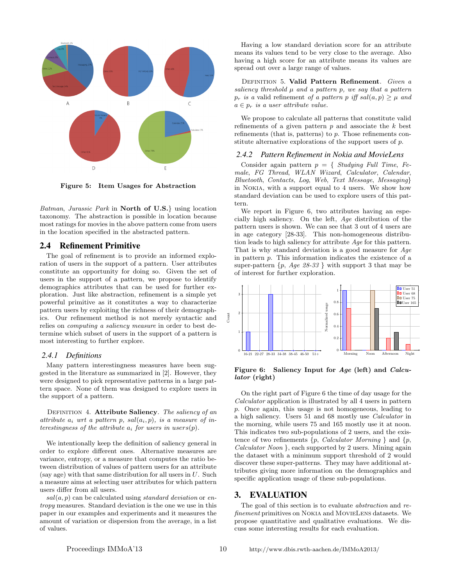

Figure 5: Item Usages for Abstraction

Batman, Jurassic Park in North of U.S.} using location taxonomy. The abstraction is possible in location because most ratings for movies in the above pattern come from users in the location specified in the abstracted pattern.

#### 2.4 Refinement Primitive

The goal of refinement is to provide an informed exploration of users in the support of a pattern. User attributes constitute an opportunity for doing so. Given the set of users in the support of a pattern, we propose to identify demographics attributes that can be used for further exploration. Just like abstraction, refinement is a simple yet powerful primitive as it constitutes a way to characterize pattern users by exploiting the richness of their demographics. Our refinement method is not merely syntactic and relies on computing a saliency measure in order to best determine which subset of users in the support of a pattern is most interesting to further explore.

#### *2.4.1 Definitions*

Many pattern interestingness measures have been suggested in the literature as summarized in [2]. However, they were designed to pick representative patterns in a large pattern space. None of them was designed to explore users in the support of a pattern.

DEFINITION 4. Attribute Saliency. The saliency of an attribute  $a_i$  wrt a pattern p,  $sal(a_i, p)$ , is a measure of interestingness of the attribute  $a_i$  for users in users $(p)$ .

We intentionally keep the definition of saliency general in order to explore different ones. Alternative measures are variance, entropy, or a measure that computes the ratio between distribution of values of pattern users for an attribute (say age) with that same distribution for all users in  $U$ . Such a measure aims at selecting user attributes for which pattern users differ from all users.

 $sal(a, p)$  can be calculated using *standard deviation* or entropy measures. Standard deviation is the one we use in this paper in our examples and experiments and it measures the amount of variation or dispersion from the average, in a list of values.

Having a low standard deviation score for an attribute means its values tend to be very close to the average. Also having a high score for an attribute means its values are spread out over a large range of values.

DEFINITION 5. Valid Pattern Refinement. Given a saliency threshold  $\mu$  and a pattern p, we say that a pattern  $p_r$  is a valid refinement of a pattern p iff sal $(a, p) \geq \mu$  and  $a \in p_r$  is a user attribute value.

We propose to calculate all patterns that constitute valid refinements of a given pattern  $p$  and associate the  $k$  best refinements (that is, patterns) to p. Those refinements constitute alternative explorations of the support users of p.

#### *2.4.2 Pattern Refinement in Nokia and MovieLens*

Consider again pattern  $p = \{$  Studying Full Time, Female, FG Thread, WLAN Wizard, Calculator, Calendar, Bluetooth, Contacts, Log, Web, Text Message, Messaging} in Nokia, with a support equal to 4 users. We show how standard deviation can be used to explore users of this pattern.

We report in Figure 6, two attributes having an especially high saliency. On the left, Age distribution of the pattern users is shown. We can see that 3 out of 4 users are in age category [28-33]. This non-homogeneous distribution leads to high saliency for attribute Age for this pattern. That is why standard deviation is a good measure for Age in pattern p. This information indicates the existence of a super-pattern  $\{p, Age 28-33\}$  with support 3 that may be of interest for further exploration.



Figure 6: Saliency Input for Age (left) and Calculator (right)

On the right part of Figure 6 the time of day usage for the Calculator application is illustrated by all 4 users in pattern p. Once again, this usage is not homogeneous, leading to a high saliency. Users 51 and 68 mostly use Calculator in the morning, while users 75 and 165 mostly use it at noon. This indicates two sub-populations of 2 users, and the existence of two refinements  $\{p, Calculator \; Morning \}$  and  $\{p,$ Calculator Noon }, each supported by 2 users. Mining again the dataset with a minimum support threshold of 2 would discover these super-patterns. They may have additional attributes giving more information on the demographics and specific application usage of these sub-populations.

# 3. EVALUATION

The goal of this section is to evaluate abstraction and refinement primitives on Nokia and MovieLens datasets. We propose quantitative and qualitative evaluations. We discuss some interesting results for each evaluation.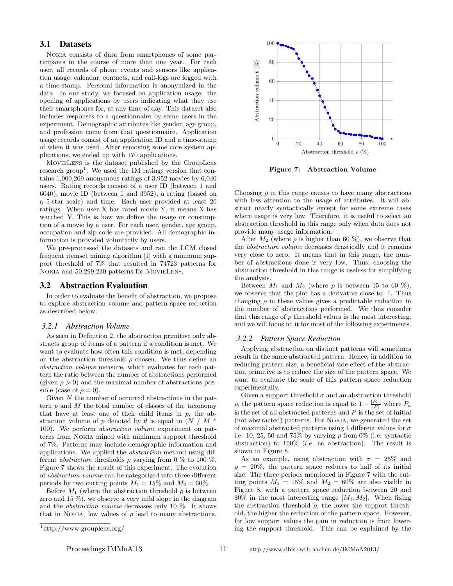# 3.1 Datasets

Nokia consists of data from smartphones of some participants in the course of more than one year. For each user, all records of phone events and sensors like application usage, calendar, contacts, and call-logs are logged with a time-stamp. Personal information is anonymized in the data. In our study, we focused on application usage: the opening of applications by users indicating what they use their smartphones for, at any time of day. This dataset also includes responses to a questionnaire by some users in the experiment. Demographic attributes like gender, age group, and profession come from that questionnaire. Application usage records consist of an application ID and a time-stamp of when it was used. After removing some core system applications, we ended up with 170 applications.

MovieLens is the dataset published by the GroupLens research group<sup>1</sup>. We used the 1M ratings version that contains 1,000,209 anonymous ratings of 3,952 movies by 6,040 users. Rating records consist of a user ID (between 1 and 6040), movie ID (between 1 and 3952), a rating (based on a 5-star scale) and time. Each user provided at least 20 ratings. When user X has rated movie Y, it means X has watched Y. This is how we define the usage or consumption of a movie by a user. For each user, gender, age group, occupation and zip-code are provided. All demographic information is provided voluntarily by users.

We pre-processed the datasets and ran the LCM closed frequent itemset mining algorithm [1] with a minimum support threshold of 7% that resulted in 74723 patterns for Nokia and 50,299,230 patterns for MovieLens.

# 3.2 Abstraction Evaluation

In order to evaluate the benefit of abstraction, we propose to explore abstraction volume and pattern space reduction as described below.

## *3.2.1 Abstraction Volume*

As seen in Definition 2, the abstraction primitive only abstracts group of items of a pattern if a condition is met. We want to evaluate how often this condition is met, depending on the abstraction threshold  $\rho$  chosen. We thus define an abstraction volume measure, which evaluates for each pattern the ratio between the number of abstractions performed (given  $\rho > 0$ ) and the maximal number of abstractions possible (case of  $\rho = 0$ ).

Given  $N$  the number of occurred abstractions in the pattern  $p$  and  $M$  the total number of classes of the taxonomy that have at least one of their child items in  $p$ , the abstraction volume of p denoted by  $\theta$  is equal to  $(N / M^*$ 100). We perform abstraction volume experiment on patterns from Nokia mined with minimum support threshold of 7%. Patterns may include demographic information and applications. We applied the abstraction method using different *abstraction* thresholds  $\rho$  varying from 0 % to 100 %. Figure 7 shows the result of this experiment. The evolution of abstraction volume can be categorized into three different periods by two cutting points  $M_1 = 15\%$  and  $M_2 = 60\%.$ 

Before  $M_1$  (where the abstraction threshold  $\rho$  is between zero and 15 %), we observe a very mild slope in the diagram and the abstraction volume decreases only 10 %. It shows that in NOKIA, low values of  $\rho$  lead to many abstractions.



Figure 7: Abstraction Volume

Choosing  $\rho$  in this range causes to have many abstractions with less attention to the usage of attributes. It will abstract nearly syntactically except for some extreme cases where usage is very low. Therefore, it is useful to select an abstraction threshold in this range only when data does not provide many usage information.

After  $M_2$  (where  $\rho$  is higher than 60 %), we observe that the abstraction volume decreases drastically and it remains very close to zero. It means that in this range, the number of abstractions done is very low. Thus, choosing the abstraction threshold in this range is useless for simplifying the analysis.

Between  $M_1$  and  $M_2$  (where  $\rho$  is between 15 to 60 %), we observe that the plot has a derivative close to -1. Thus changing  $\rho$  in these values gives a predictable reduction in the number of abstractions performed. We thus consider that this range of  $\rho$  threshold values is the most interesting, and we will focus on it for most of the following experiments.

#### *3.2.2 Pattern Space Reduction*

Applying abstraction on distinct patterns will sometimes result in the same abstracted pattern. Hence, in addition to reducing pattern size, a beneficial side effect of the abstraction primitive is to reduce the size of the pattern space. We want to evaluate the scale of this pattern space reduction experimentally.

Given a support threshold  $\sigma$  and an abstraction threshold ρ, the pattern space reduction is equal to  $1 - \frac{|P_a|}{|P|}$  where  $P_a$ is the set of all abstracted patterns and  $P$  is the set of initial (not abstracted) patterns. For Nokia, we generated the set of maximal abstracted patterns using 4 different values for  $\sigma$ i.e. 10, 25, 50 and 75% by varying  $\rho$  from 0% (i.e. syntactic abstraction) to  $100\%$  (*i.e.* no abstraction). The result is shown in Figure 8.

As an example, using abstraction with  $\sigma = 25\%$  and  $\rho = 20\%$ , the pattern space reduces to half of its initial size. The three periods mentioned in Figure 7 with the cutting points  $M_1 = 15\%$  and  $M_2 = 60\%$  are also visible in Figure 8, with a pattern space reduction between 20 and  $30\%$  in the most interesting range  $[M_1, M_2]$ . When fixing the abstraction threshold  $\rho$ , the lower the support threshold, the higher the reduction of the pattern space. However, for low support values the gain in reduction is from lowering the support threshold. This can be explained by the

<sup>1</sup>http://www.grouplens.org/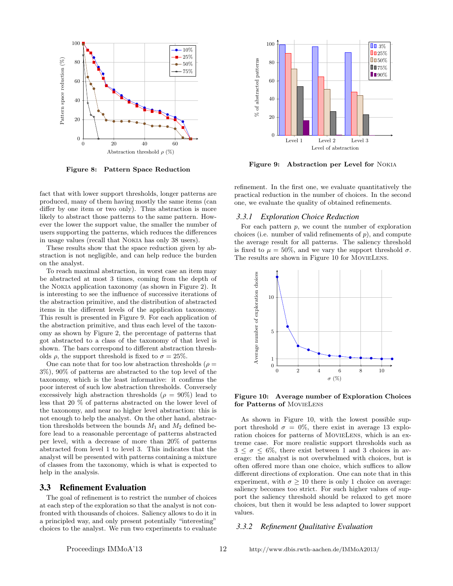

Figure 8: Pattern Space Reduction

fact that with lower support thresholds, longer patterns are produced, many of them having mostly the same items (can differ by one item or two only). Thus abstraction is more likely to abstract those patterns to the same pattern. However the lower the support value, the smaller the number of users supporting the patterns, which reduces the differences in usage values (recall that Nokia has only 38 users).

These results show that the space reduction given by abstraction is not negligible, and can help reduce the burden on the analyst.

To reach maximal abstraction, in worst case an item may be abstracted at most 3 times, coming from the depth of the Nokia application taxonomy (as shown in Figure 2). It is interesting to see the influence of successive iterations of the abstraction primitive, and the distribution of abstracted items in the different levels of the application taxonomy. This result is presented in Figure 9. For each application of the abstraction primitive, and thus each level of the taxonomy as shown by Figure 2, the percentage of patterns that got abstracted to a class of the taxonomy of that level is shown. The bars correspond to different abstraction thresholds  $\rho$ , the support threshold is fixed to  $\sigma = 25\%$ .

One can note that for too low abstraction thresholds ( $\rho =$ 3%), 90% of patterns are abstracted to the top level of the taxonomy, which is the least informative: it confirms the poor interest of such low abstraction thresholds. Conversely excessively high abstraction thresholds ( $\rho = 90\%$ ) lead to less that 20 % of patterns abstracted on the lower level of the taxonomy, and near no higher level abstraction: this is not enough to help the analyst. On the other hand, abstraction thresholds between the bounds  $M_1$  and  $M_2$  defined before lead to a reasonable percentage of patterns abstracted per level, with a decrease of more than 20% of patterns abstracted from level 1 to level 3. This indicates that the analyst will be presented with patterns containing a mixture of classes from the taxonomy, which is what is expected to help in the analysis.

## 3.3 Refinement Evaluation

The goal of refinement is to restrict the number of choices at each step of the exploration so that the analyst is not confronted with thousands of choices. Saliency allows to do it in a principled way, and only present potentially "interesting" choices to the analyst. We run two experiments to evaluate



Figure 9: Abstraction per Level for Nokia

refinement. In the first one, we evaluate quantitatively the practical reduction in the number of choices. In the second one, we evaluate the quality of obtained refinements.

#### *3.3.1 Exploration Choice Reduction*

For each pattern  $p$ , we count the number of exploration choices (i.e. number of valid refinements of  $p$ ), and compute the average result for all patterns. The saliency threshold is fixed to  $\mu = 50\%$ , and we vary the support threshold  $\sigma$ . The results are shown in Figure 10 for MovieLens.



Figure 10: Average number of Exploration Choices for Patterns of MovieLens

As shown in Figure 10, with the lowest possible support threshold  $\sigma = 0\%$ , there exist in average 13 exploration choices for patterns of MovieLens, which is an extreme case. For more realistic support thresholds such as  $3 \leq \sigma \leq 6\%$ , there exist between 1 and 3 choices in average: the analyst is not overwhelmed with choices, but is often offered more than one choice, which suffices to allow different directions of exploration. One can note that in this experiment, with  $\sigma \geq 10$  there is only 1 choice on average: saliency becomes too strict. For such higher values of support the saliency threshold should be relaxed to get more choices, but then it would be less adapted to lower support values.

## *3.3.2 Refinement Qualitative Evaluation*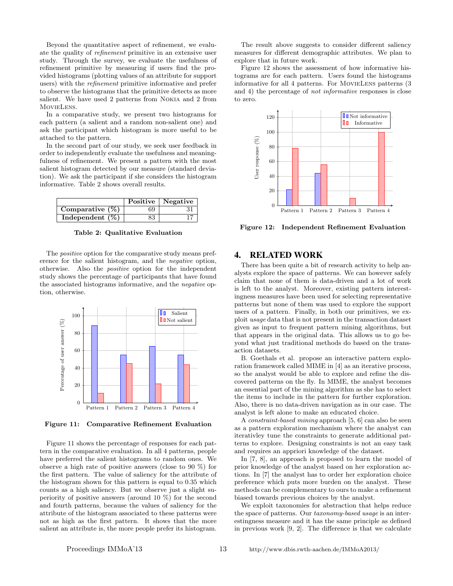Beyond the quantitative aspect of refinement, we evaluate the quality of refinement primitive in an extensive user study. Through the survey, we evaluate the usefulness of refinement primitive by measuring if users find the provided histograms (plotting values of an attribute for support users) with the refinement primitive informative and prefer to observe the histograms that the primitive detects as more salient. We have used 2 patterns from Nokia and 2 from MovieLens.

In a comparative study, we present two histograms for each pattern (a salient and a random non-salient one) and ask the participant which histogram is more useful to be attached to the pattern.

In the second part of our study, we seek user feedback in order to independently evaluate the usefulness and meaningfulness of refinement. We present a pattern with the most salient histogram detected by our measure (standard deviation). We ask the participant if she considers the histogram informative. Table 2 shows overall results.

|                    |    | Positive   Negative |
|--------------------|----|---------------------|
| Comparative $(\%)$ | 69 |                     |
| Independent $(\%)$ | 83 |                     |

Table 2: Qualitative Evaluation

The *positive* option for the comparative study means preference for the salient histogram, and the negative option, otherwise. Also the positive option for the independent study shows the percentage of participants that have found the associated histograms informative, and the negative option, otherwise.



Figure 11: Comparative Refinement Evaluation

Figure 11 shows the percentage of responses for each pattern in the comparative evaluation. In all 4 patterns, people have preferred the salient histograms to random ones. We observe a high rate of positive answers (close to 90 %) for the first pattern. The value of saliency for the attribute of the histogram shown for this pattern is equal to 0.35 which counts as a high saliency. But we observe just a slight superiority of positive answers (around 10 %) for the second and fourth patterns, because the values of saliency for the attribute of the histogram associated to these patterns were not as high as the first pattern. It shows that the more salient an attribute is, the more people prefer its histogram.

The result above suggests to consider different saliency measures for different demographic attributes. We plan to explore that in future work.

Figure 12 shows the assessment of how informative histograms are for each pattern. Users found the histograms informative for all 4 patterns. For MovieLens patterns (3 and 4) the percentage of not informative responses is close to zero.



Figure 12: Independent Refinement Evaluation

## 4. RELATED WORK

There has been quite a bit of research activity to help analysts explore the space of patterns. We can however safely claim that none of them is data-driven and a lot of work is left to the analyst. Moreover, existing pattern interestingness measures have been used for selecting representative patterns but none of them was used to explore the support users of a pattern. Finally, in both our primitives, we exploit usage data that is not present in the transaction dataset given as input to frequent pattern mining algorithms, but that appears in the original data. This allows us to go beyond what just traditional methods do based on the transaction datasets.

B. Goethals et al. propose an interactive pattern exploration framework called MIME in [4] as an iterative process, so the analyst would be able to explore and refine the discovered patterns on the fly. In MIME, the analyst becomes an essential part of the mining algorithm as she has to select the items to include in the pattern for further exploration. Also, there is no data-driven navigation as in our case. The analyst is left alone to make an educated choice.

A constraint-based mining approach [5, 6] can also be seen as a pattern exploration mechanism where the analyst can iterativley tune the constraints to generate additional patterns to explore. Designing constraints is not an easy task and requires an appriori knowledge of the dataset.

In [7, 8], an approach is proposed to learn the model of prior knowledge of the analyst based on her exploration actions. In [7] the analyst has to order her exploration choice preference which puts more burden on the analyst. These methods can be complementary to ours to make a refinement biased towards previous choices by the analyst.

We exploit taxonomies for abstraction that helps reduce the space of patterns. Our taxonomy-based usage is an interestingness measure and it has the same principle as defined in previous work [9, 2]. The difference is that we calculate